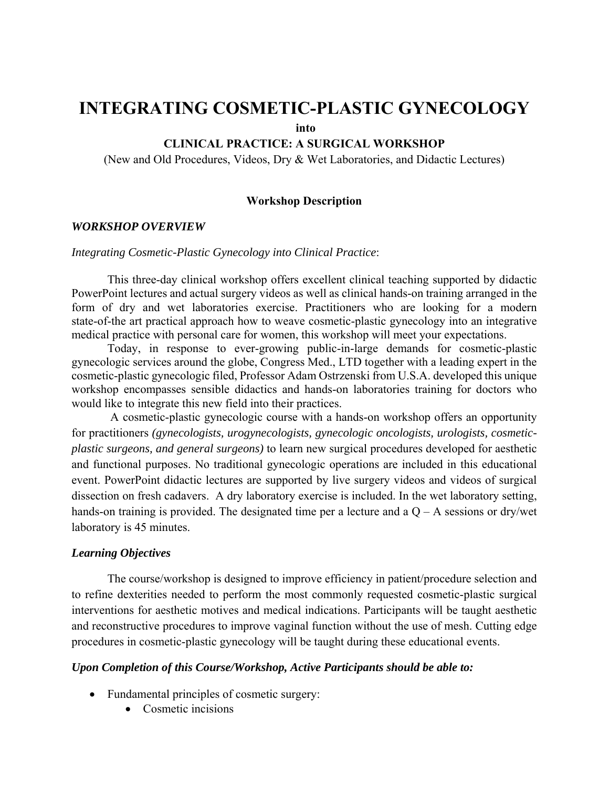## **INTEGRATING COSMETIC-PLASTIC GYNECOLOGY**

 **into** 

#### **CLINICAL PRACTICE: A SURGICAL WORKSHOP**

(New and Old Procedures, Videos, Dry & Wet Laboratories, and Didactic Lectures)

#### **Workshop Description**

#### *WORKSHOP OVERVIEW*

#### *Integrating Cosmetic-Plastic Gynecology into Clinical Practice*:

 This three-day clinical workshop offers excellent clinical teaching supported by didactic PowerPoint lectures and actual surgery videos as well as clinical hands-on training arranged in the form of dry and wet laboratories exercise. Practitioners who are looking for a modern state-of-the art practical approach how to weave cosmetic-plastic gynecology into an integrative medical practice with personal care for women, this workshop will meet your expectations.

 Today, in response to ever-growing public-in-large demands for cosmetic-plastic gynecologic services around the globe, Congress Med., LTD together with a leading expert in the cosmetic-plastic gynecologic filed, Professor Adam Ostrzenski from U.S.A. developed this unique workshop encompasses sensible didactics and hands-on laboratories training for doctors who would like to integrate this new field into their practices.

 A cosmetic-plastic gynecologic course with a hands-on workshop offers an opportunity for practitioners *(gynecologists, urogynecologists, gynecologic oncologists, urologists, cosmeticplastic surgeons, and general surgeons)* to learn new surgical procedures developed for aesthetic and functional purposes. No traditional gynecologic operations are included in this educational event. PowerPoint didactic lectures are supported by live surgery videos and videos of surgical dissection on fresh cadavers. A dry laboratory exercise is included. In the wet laboratory setting, hands-on training is provided. The designated time per a lecture and a  $Q - A$  sessions or dry/wet laboratory is 45 minutes.

#### *Learning Objectives*

 The course/workshop is designed to improve efficiency in patient/procedure selection and to refine dexterities needed to perform the most commonly requested cosmetic-plastic surgical interventions for aesthetic motives and medical indications. Participants will be taught aesthetic and reconstructive procedures to improve vaginal function without the use of mesh. Cutting edge procedures in cosmetic-plastic gynecology will be taught during these educational events.

#### *Upon Completion of this Course/Workshop, Active Participants should be able to:*

- Fundamental principles of cosmetic surgery:
	- Cosmetic incisions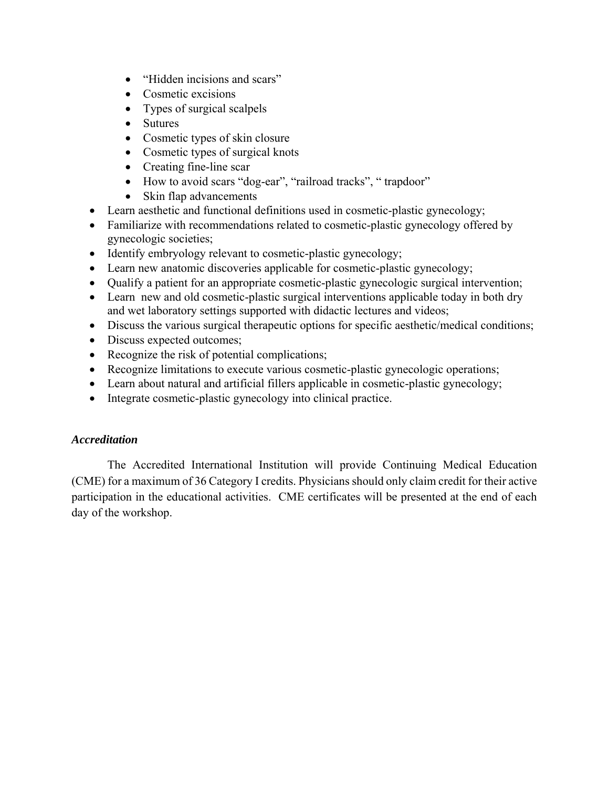- "Hidden incisions and scars"
- Cosmetic excisions
- Types of surgical scalpels
- Sutures
- Cosmetic types of skin closure
- Cosmetic types of surgical knots
- Creating fine-line scar
- How to avoid scars "dog-ear", "railroad tracks", "trapdoor"
- Skin flap advancements
- Learn aesthetic and functional definitions used in cosmetic-plastic gynecology;
- Familiarize with recommendations related to cosmetic-plastic gynecology offered by gynecologic societies;
- Identify embryology relevant to cosmetic-plastic gynecology;
- Learn new anatomic discoveries applicable for cosmetic-plastic gynecology;
- Qualify a patient for an appropriate cosmetic-plastic gynecologic surgical intervention;
- Learn new and old cosmetic-plastic surgical interventions applicable today in both dry and wet laboratory settings supported with didactic lectures and videos;
- Discuss the various surgical therapeutic options for specific aesthetic/medical conditions;
- Discuss expected outcomes;
- Recognize the risk of potential complications;
- Recognize limitations to execute various cosmetic-plastic gynecologic operations;
- Learn about natural and artificial fillers applicable in cosmetic-plastic gynecology;
- Integrate cosmetic-plastic gynecology into clinical practice.

### *Accreditation*

 The Accredited International Institution will provide Continuing Medical Education (CME) for a maximum of 36 Category I credits. Physicians should only claim credit for their active participation in the educational activities. CME certificates will be presented at the end of each day of the workshop.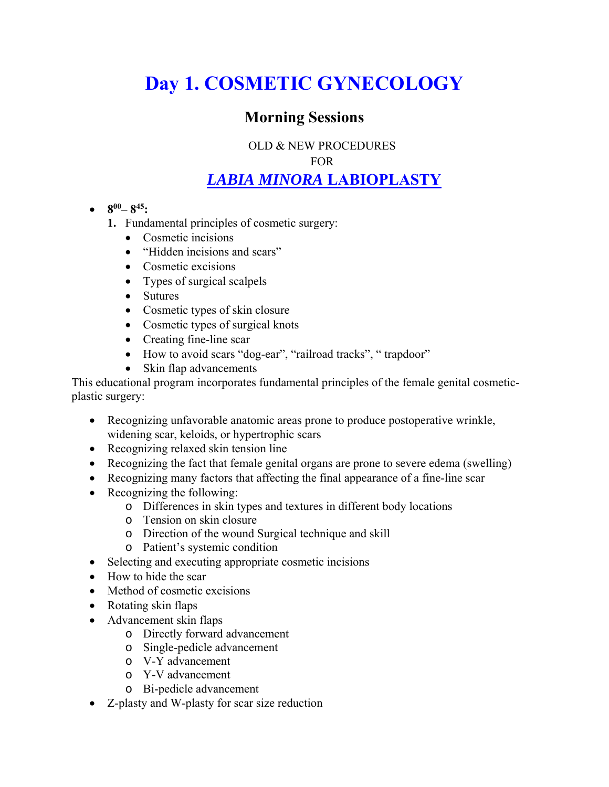# **Day 1. COSMETIC GYNECOLOGY**

## **Morning Sessions**

OLD & NEW PROCEDURES

FOR

## *LABIA MINORA* **LABIOPLASTY**

- $\bullet$  8<sup>00</sup>–8<sup>45</sup>:
	- **1.** Fundamental principles of cosmetic surgery:
		- Cosmetic incisions
		- "Hidden incisions and scars"
		- Cosmetic excisions
		- Types of surgical scalpels
		- Sutures
		- Cosmetic types of skin closure
		- Cosmetic types of surgical knots
		- Creating fine-line scar
		- How to avoid scars "dog-ear", "railroad tracks", "trapdoor"
		- Skin flap advancements

This educational program incorporates fundamental principles of the female genital cosmeticplastic surgery:

- Recognizing unfavorable anatomic areas prone to produce postoperative wrinkle, widening scar, keloids, or hypertrophic scars
- Recognizing relaxed skin tension line
- Recognizing the fact that female genital organs are prone to severe edema (swelling)
- Recognizing many factors that affecting the final appearance of a fine-line scar
- Recognizing the following:
	- o Differences in skin types and textures in different body locations
	- o Tension on skin closure
	- o Direction of the wound Surgical technique and skill
	- o Patient's systemic condition
- Selecting and executing appropriate cosmetic incisions
- How to hide the scar
- Method of cosmetic excisions
- Rotating skin flaps
- Advancement skin flaps
	- o Directly forward advancement
	- o Single-pedicle advancement
	- o V-Y advancement
	- o Y-V advancement
	- o Bi-pedicle advancement
- Z-plasty and W-plasty for scar size reduction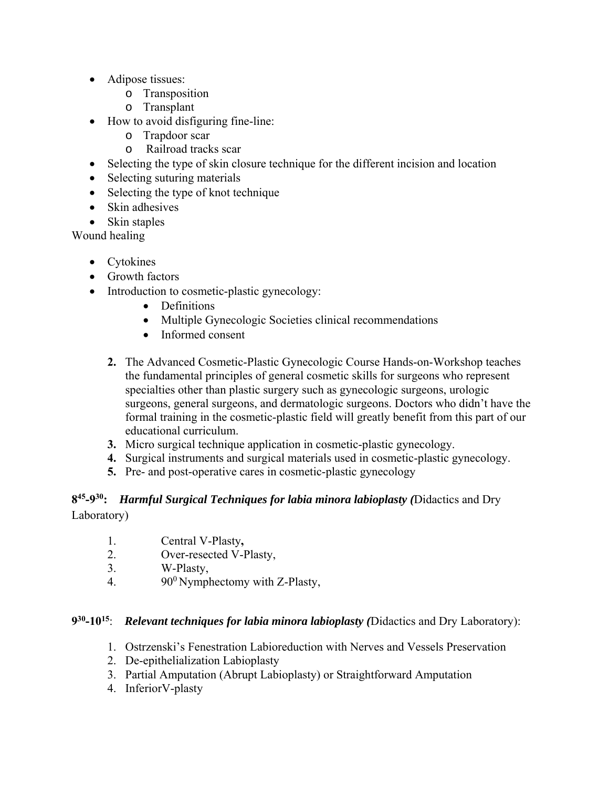- Adipose tissues:
	- o Transposition
	- o Transplant
- How to avoid disfiguring fine-line:
	- o Trapdoor scar
	- o Railroad tracks scar
- Selecting the type of skin closure technique for the different incision and location
- Selecting suturing materials
- Selecting the type of knot technique
- Skin adhesives
- Skin staples

Wound healing

- Cytokines
- Growth factors
- Introduction to cosmetic-plastic gynecology:
	- Definitions
	- Multiple Gynecologic Societies clinical recommendations
	- Informed consent
	- **2.** The Advanced Cosmetic-Plastic Gynecologic Course Hands-on-Workshop teaches the fundamental principles of general cosmetic skills for surgeons who represent specialties other than plastic surgery such as gynecologic surgeons, urologic surgeons, general surgeons, and dermatologic surgeons. Doctors who didn't have the formal training in the cosmetic-plastic field will greatly benefit from this part of our educational curriculum.
	- **3.** Micro surgical technique application in cosmetic-plastic gynecology.
	- **4.** Surgical instruments and surgical materials used in cosmetic-plastic gynecology.
	- **5.** Pre- and post-operative cares in cosmetic-plastic gynecology

### **845-930:** *Harmful Surgical Techniques for labia minora labioplasty (*Didactics and Dry Laboratory)

- 1. Central V-Plasty**,**
- 2. Over-resected V-Plasty,
- 3. W-Plasty,
- 4. 90<sup>0</sup> Nymphectomy with Z-Plasty,

### **930-1015**: *Relevant techniques for labia minora labioplasty (*Didactics and Dry Laboratory):

- 1. Ostrzenski's Fenestration Labioreduction with Nerves and Vessels Preservation
- 2. De-epithelialization Labioplasty
- 3. Partial Amputation (Abrupt Labioplasty) or Straightforward Amputation
- 4. InferiorV-plasty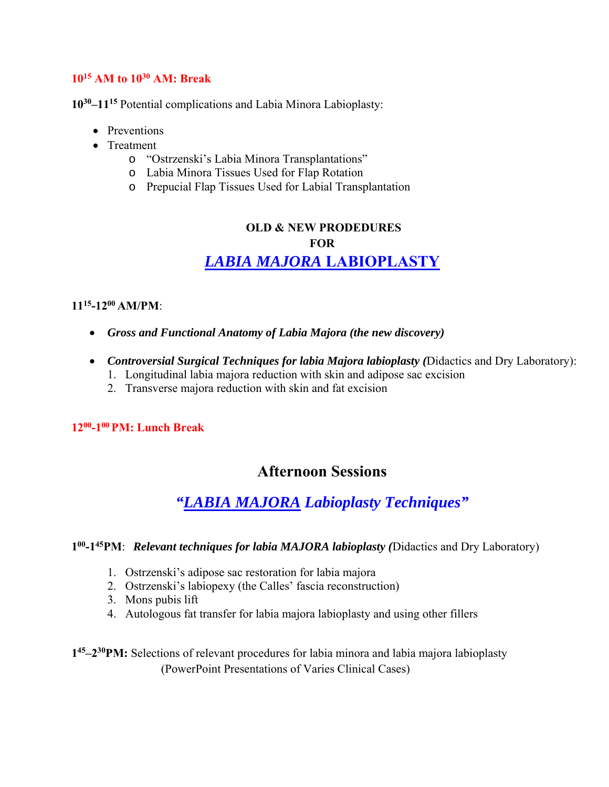### **1015 AM to 1030 AM: Break**

**1030–1115** Potential complications and Labia Minora Labioplasty:

- Preventions
- Treatment
	- o "Ostrzenski's Labia Minora Transplantations"
	- o Labia Minora Tissues Used for Flap Rotation
	- o Prepucial Flap Tissues Used for Labial Transplantation

## **OLD & NEW PRODEDURES FOR**  *LABIA MAJORA* **LABIOPLASTY**

### **1115-1200 AM/PM**:

- *Gross and Functional Anatomy of Labia Majora (the new discovery)*
- *Controversial Surgical Techniques for labia Majora labioplasty (*Didactics and Dry Laboratory):
	- 1. Longitudinal labia majora reduction with skin and adipose sac excision
	- 2. Transverse majora reduction with skin and fat excision

### **1200-100 PM: Lunch Break**

### **Afternoon Sessions**

## *"LABIA MAJORA Labioplasty Techniques"*

### **100-145PM**: *Relevant techniques for labia MAJORA labioplasty (*Didactics and Dry Laboratory)

- 1. Ostrzenski's adipose sac restoration for labia majora
- 2. Ostrzenski's labiopexy (the Calles' fascia reconstruction)
- 3. Mons pubis lift
- 4. Autologous fat transfer for labia majora labioplasty and using other fillers

**145–230PM:** Selections of relevant procedures for labia minora and labia majora labioplasty (PowerPoint Presentations of Varies Clinical Cases)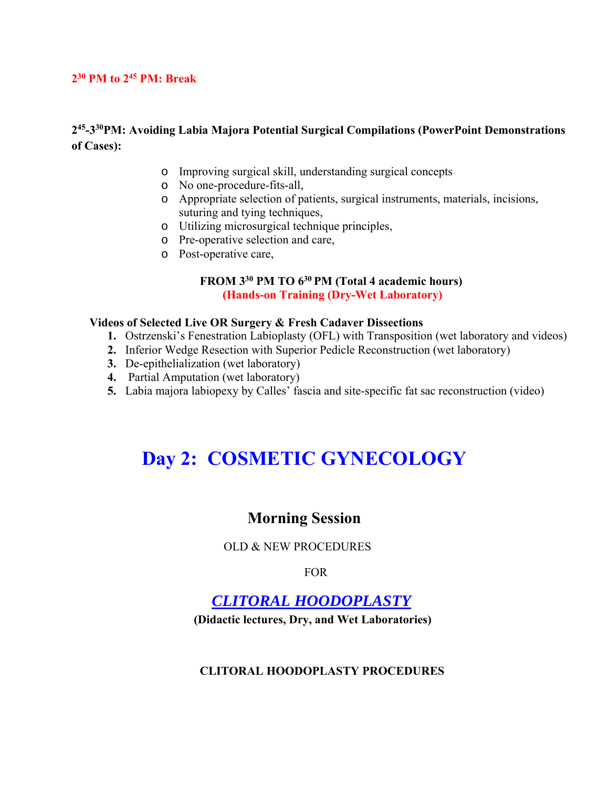### **230 PM to 245 PM: Break**

### **245-330PM: Avoiding Labia Majora Potential Surgical Compilations (PowerPoint Demonstrations of Cases):**

- o Improving surgical skill, understanding surgical concepts
- o No one-procedure-fits-all,
- o Appropriate selection of patients, surgical instruments, materials, incisions, suturing and tying techniques,
- o Utilizing microsurgical technique principles,
- o Pre-operative selection and care,
- o Post-operative care,

### **FROM 330 PM TO 630 PM (Total 4 academic hours) (Hands-on Training (Dry-Wet Laboratory)**

#### **Videos of Selected Live OR Surgery & Fresh Cadaver Dissections**

- **1.** Ostrzenski's Fenestration Labioplasty (OFL) with Transposition (wet laboratory and videos)
- **2.** Inferior Wedge Resection with Superior Pedicle Reconstruction (wet laboratory)
- **3.** De-epithelialization (wet laboratory)
- **4.** Partial Amputation (wet laboratory)
- **5.** Labia majora labiopexy by Calles' fascia and site-specific fat sac reconstruction (video)

# **Day 2: COSMETIC GYNECOLOGY**

### **Morning Session**

### OLD & NEW PROCEDURES

FOR

## *CLITORAL HOODOPLASTY*

 **(Didactic lectures, Dry, and Wet Laboratories)**

#### **CLITORAL HOODOPLASTY PROCEDURES**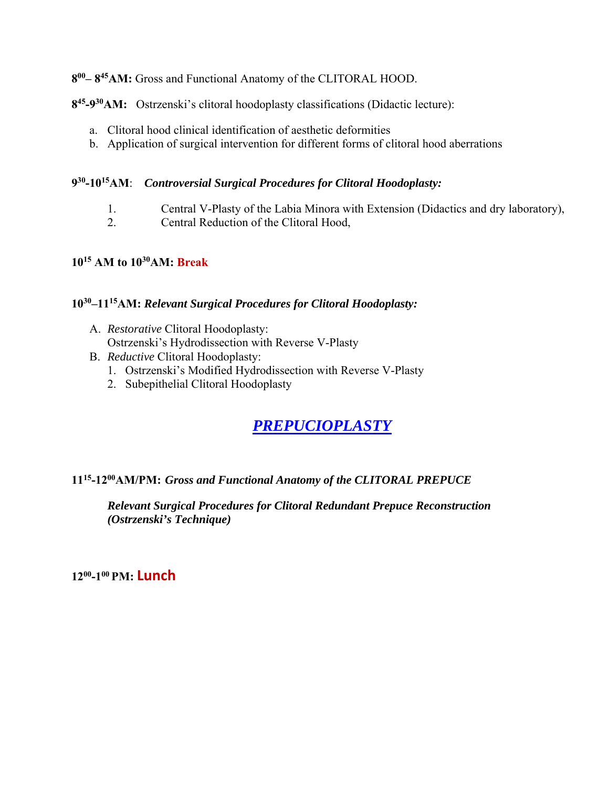**800– 845AM:** Gross and Functional Anatomy of the CLITORAL HOOD.

**845-930AM:** Ostrzenski's clitoral hoodoplasty classifications (Didactic lecture):

- a. Clitoral hood clinical identification of aesthetic deformities
- b. Application of surgical intervention for different forms of clitoral hood aberrations

### **930-1015AM**: *Controversial Surgical Procedures for Clitoral Hoodoplasty:*

- 1. Central V-Plasty of the Labia Minora with Extension (Didactics and dry laboratory),
- 2. Central Reduction of the Clitoral Hood,

### **1015 AM to 1030AM: Break**

### **1030–1115AM:** *Relevant Surgical Procedures for Clitoral Hoodoplasty:*

- A. *Restorative* Clitoral Hoodoplasty: Ostrzenski's Hydrodissection with Reverse V-Plasty
- B. *Reductive* Clitoral Hoodoplasty:
	- 1. Ostrzenski's Modified Hydrodissection with Reverse V-Plasty
	- 2. Subepithelial Clitoral Hoodoplasty

## *PREPUCIOPLASTY*

### **1115-1200AM/PM:** *Gross and Functional Anatomy of the CLITORAL PREPUCE*

*Relevant Surgical Procedures for Clitoral Redundant Prepuce Reconstruction (Ostrzenski's Technique)* 

**1200-100 PM: Lunch**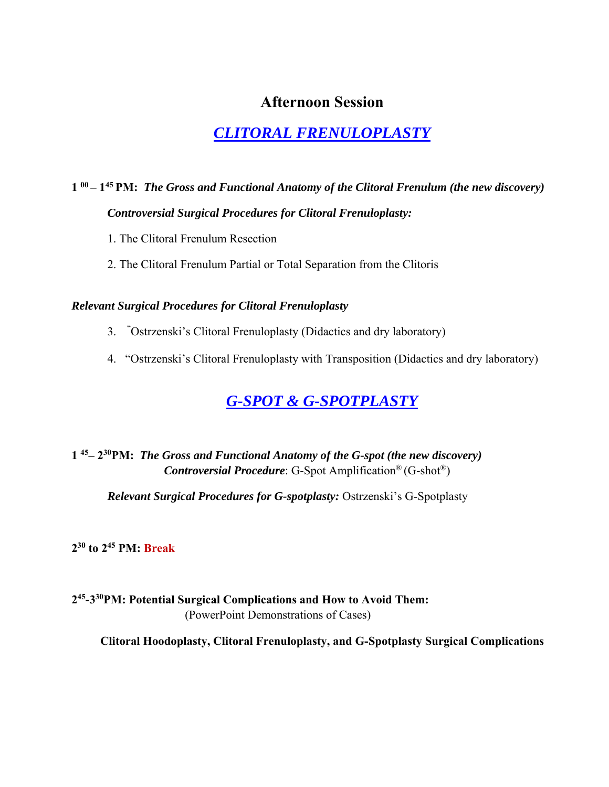### **Afternoon Session**

## *CLITORAL FRENULOPLASTY*

## **1 00 – 145 PM:** *The Gross and Functional Anatomy of the Clitoral Frenulum (the new discovery) Controversial Surgical Procedures for Clitoral Frenuloplasty:*

- 1. The Clitoral Frenulum Resection
- 2. The Clitoral Frenulum Partial or Total Separation from the Clitoris

### *Relevant Surgical Procedures for Clitoral Frenuloplasty*

- 3. "Ostrzenski's Clitoral Frenuloplasty (Didactics and dry laboratory)
- 4. "Ostrzenski's Clitoral Frenuloplasty with Transposition (Didactics and dry laboratory)

## *G-SPOT & G-SPOTPLASTY*

### **1 45– 230PM:** *The Gross and Functional Anatomy of the G-spot (the new discovery) Controversial Procedure*: G-Spot Amplification® (G-shot®)

*Relevant Surgical Procedures for G-spotplasty:* Ostrzenski's G-Spotplasty

**230 to 245 PM: Break**

**245-330PM: Potential Surgical Complications and How to Avoid Them:** (PowerPoint Demonstrations of Cases)

**Clitoral Hoodoplasty, Clitoral Frenuloplasty, and G-Spotplasty Surgical Complications**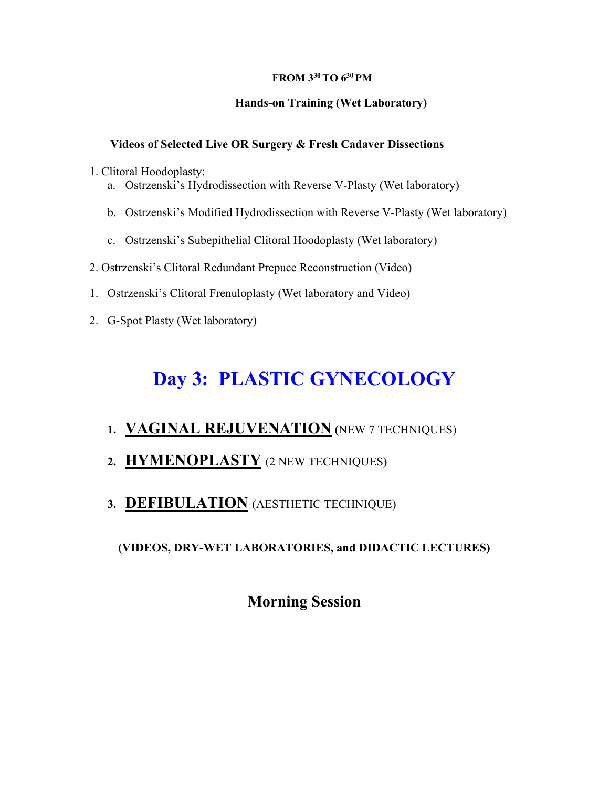### **FROM 330 TO 630 PM**

### **Hands-on Training (Wet Laboratory)**

### **Videos of Selected Live OR Surgery & Fresh Cadaver Dissections**

1. Clitoral Hoodoplasty:

- a. Ostrzenski's Hydrodissection with Reverse V-Plasty (Wet laboratory)
- b. Ostrzenski's Modified Hydrodissection with Reverse V-Plasty (Wet laboratory)
- c. Ostrzenski's Subepithelial Clitoral Hoodoplasty (Wet laboratory)
- 2. Ostrzenski's Clitoral Redundant Prepuce Reconstruction (Video)
- 1. Ostrzenski's Clitoral Frenuloplasty (Wet laboratory and Video)
- 2. G-Spot Plasty (Wet laboratory)

# **Day 3: PLASTIC GYNECOLOGY**

### **1. VAGINAL REJUVENATION (**NEW 7 TECHNIQUES)

- **2. HYMENOPLASTY** (2 NEW TECHNIQUES)
- **3. DEFIBULATION** (AESTHETIC TECHNIQUE)

### **(VIDEOS, DRY-WET LABORATORIES, and DIDACTIC LECTURES)**

## **Morning Session**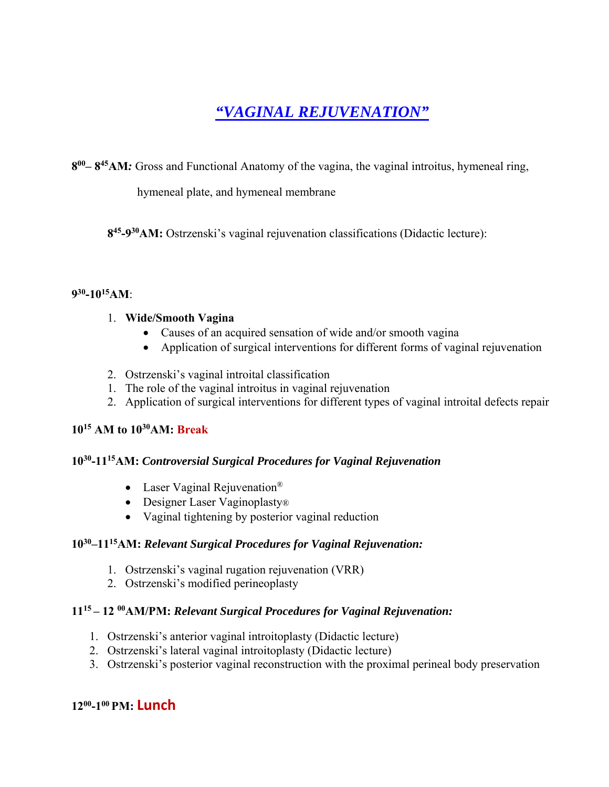## *"VAGINAL REJUVENATION"*

**800– 845AM***:* Gross and Functional Anatomy of the vagina, the vaginal introitus, hymeneal ring,

hymeneal plate, and hymeneal membrane

**845-930AM:** Ostrzenski's vaginal rejuvenation classifications (Didactic lecture):

### **930-1015AM**:

### 1. **Wide/Smooth Vagina**

- Causes of an acquired sensation of wide and/or smooth vagina
- Application of surgical interventions for different forms of vaginal rejuvenation
- 2. Ostrzenski's vaginal introital classification
- 1. The role of the vaginal introitus in vaginal rejuvenation
- 2. Application of surgical interventions for different types of vaginal introital defects repair

### **1015 AM to 1030AM: Break**

### **1030-1115AM:** *Controversial Surgical Procedures for Vaginal Rejuvenation*

- Laser Vaginal Rejuvenation<sup>®</sup>
- Designer Laser Vaginoplasty®
- Vaginal tightening by posterior vaginal reduction

### **1030–1115AM:** *Relevant Surgical Procedures for Vaginal Rejuvenation:*

- 1. Ostrzenski's vaginal rugation rejuvenation (VRR)
- 2. Ostrzenski's modified perineoplasty

### **1115 – 12 00AM/PM:** *Relevant Surgical Procedures for Vaginal Rejuvenation:*

- 1. Ostrzenski's anterior vaginal introitoplasty (Didactic lecture)
- 2. Ostrzenski's lateral vaginal introitoplasty (Didactic lecture)
- 3. Ostrzenski's posterior vaginal reconstruction with the proximal perineal body preservation

### **1200-100 PM: Lunch**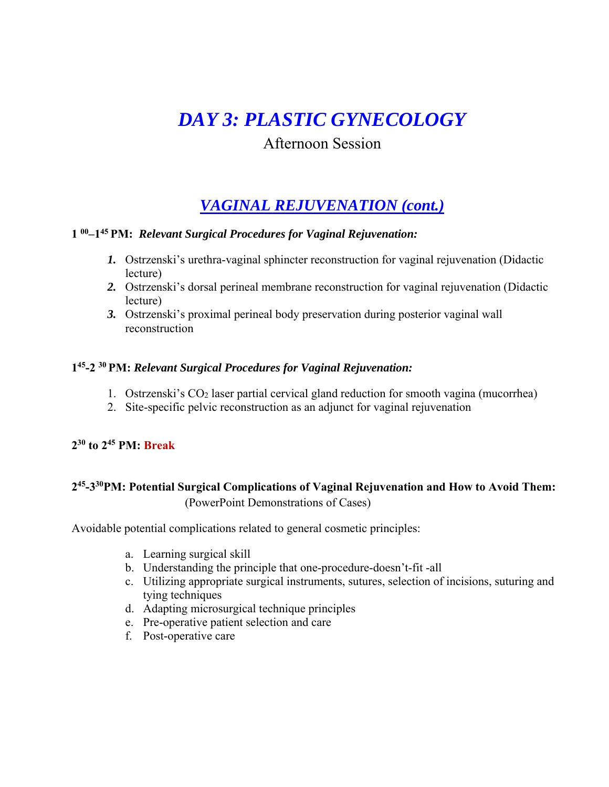# *DAY 3: PLASTIC GYNECOLOGY*

### Afternoon Session

## *VAGINAL REJUVENATION (cont.)*

### **1 00–145 PM:** *Relevant Surgical Procedures for Vaginal Rejuvenation:*

- *1.* Ostrzenski's urethra-vaginal sphincter reconstruction for vaginal rejuvenation (Didactic lecture)
- *2.* Ostrzenski's dorsal perineal membrane reconstruction for vaginal rejuvenation (Didactic lecture)
- *3.* Ostrzenski's proximal perineal body preservation during posterior vaginal wall reconstruction

### **145-2 30 PM:** *Relevant Surgical Procedures for Vaginal Rejuvenation:*

- 1. Ostrzenski's CO2 laser partial cervical gland reduction for smooth vagina (mucorrhea)
- 2. Site-specific pelvic reconstruction as an adjunct for vaginal rejuvenation

### **230 to 245 PM: Break**

### **245-330PM: Potential Surgical Complications of Vaginal Rejuvenation and How to Avoid Them:** (PowerPoint Demonstrations of Cases)

Avoidable potential complications related to general cosmetic principles:

- a. Learning surgical skill
- b. Understanding the principle that one-procedure-doesn't-fit -all
- c. Utilizing appropriate surgical instruments, sutures, selection of incisions, suturing and tying techniques
- d. Adapting microsurgical technique principles
- e. Pre-operative patient selection and care
- f. Post-operative care